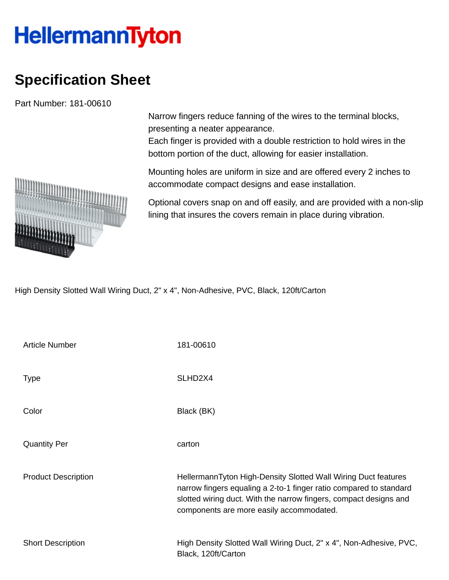## **HellermannTyton**

## **Specification Sheet**

Part Number: 181-00610

Narrow fingers reduce fanning of the wires to the terminal blocks, presenting a neater appearance.

Each finger is provided with a double restriction to hold wires in the bottom portion of the duct, allowing for easier installation.

Mounting holes are uniform in size and are offered every 2 inches to accommodate compact designs and ease installation.

Optional covers snap on and off easily, and are provided with a non-slip lining that insures the covers remain in place during vibration.

High Density Slotted Wall Wiring Duct, 2" x 4", Non-Adhesive, PVC, Black, 120ft/Carton

| <b>Article Number</b>      | 181-00610                                                                                                                                                                                                                                             |
|----------------------------|-------------------------------------------------------------------------------------------------------------------------------------------------------------------------------------------------------------------------------------------------------|
| <b>Type</b>                | SLHD <sub>2</sub> X4                                                                                                                                                                                                                                  |
| Color                      | Black (BK)                                                                                                                                                                                                                                            |
| <b>Quantity Per</b>        | carton                                                                                                                                                                                                                                                |
| <b>Product Description</b> | HellermannTyton High-Density Slotted Wall Wiring Duct features<br>narrow fingers equaling a 2-to-1 finger ratio compared to standard<br>slotted wiring duct. With the narrow fingers, compact designs and<br>components are more easily accommodated. |
| <b>Short Description</b>   | High Density Slotted Wall Wiring Duct, 2" x 4", Non-Adhesive, PVC,<br>Black, 120ft/Carton                                                                                                                                                             |

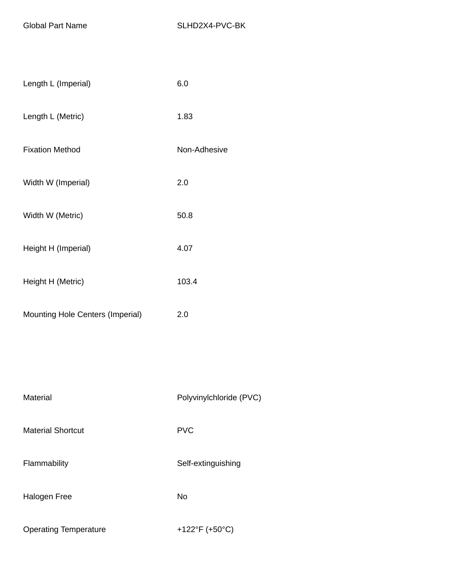| Length L (Imperial)              | 6.0                     |
|----------------------------------|-------------------------|
| Length L (Metric)                | 1.83                    |
| <b>Fixation Method</b>           | Non-Adhesive            |
| Width W (Imperial)               | 2.0                     |
| Width W (Metric)                 | 50.8                    |
| Height H (Imperial)              | 4.07                    |
| Height H (Metric)                | 103.4                   |
| Mounting Hole Centers (Imperial) | 2.0                     |
|                                  |                         |
|                                  |                         |
| Material                         | Polyvinylchloride (PVC) |
| <b>Material Shortcut</b>         | <b>PVC</b>              |
| Flammability                     | Self-extinguishing      |
| <b>Halogen Free</b>              | No                      |
| <b>Operating Temperature</b>     | +122°F (+50°C)          |